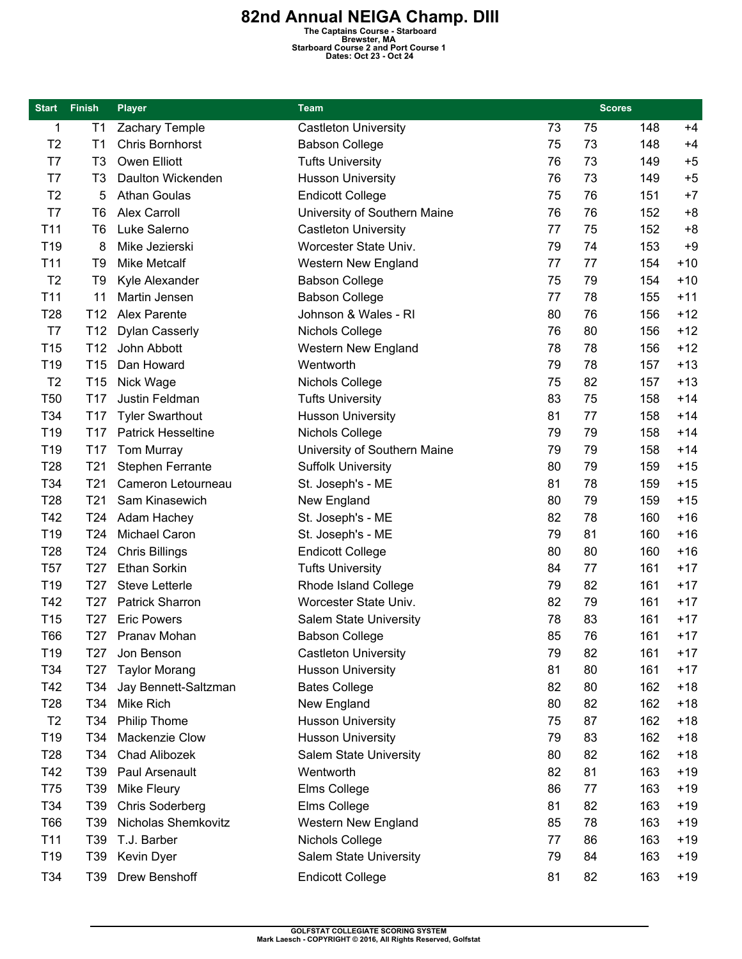**82nd Annual NEIGA Champ. DIII**<br>
The Captains Course - Starboard<br>
Brewster, MA<br>
Bates: Oct 23 - Oct 24<br>
Dates: Oct 23 - Oct 24

| <b>Start</b>    | <b>Finish</b>   | <b>Player</b>             | <b>Team</b>                   |    | <b>Scores</b> |     |       |
|-----------------|-----------------|---------------------------|-------------------------------|----|---------------|-----|-------|
| 1               | T1              | Zachary Temple            | <b>Castleton University</b>   | 73 | 75            | 148 | $+4$  |
| T <sub>2</sub>  | T1              | <b>Chris Bornhorst</b>    | <b>Babson College</b>         | 75 | 73            | 148 | $+4$  |
| T7              | T3              | Owen Elliott              | <b>Tufts University</b>       | 76 | 73            | 149 | $+5$  |
| T7              | T <sub>3</sub>  | Daulton Wickenden         | <b>Husson University</b>      | 76 | 73            | 149 | $+5$  |
| T <sub>2</sub>  | 5               | <b>Athan Goulas</b>       | <b>Endicott College</b>       | 75 | 76            | 151 | $+7$  |
| T7              | T <sub>6</sub>  | <b>Alex Carroll</b>       | University of Southern Maine  | 76 | 76            | 152 | $+8$  |
| T11             | T6              | Luke Salerno              | <b>Castleton University</b>   | 77 | 75            | 152 | $+8$  |
| T <sub>19</sub> | 8               | Mike Jezierski            | Worcester State Univ.         | 79 | 74            | 153 | $+9$  |
| T11             | T9              | <b>Mike Metcalf</b>       | <b>Western New England</b>    | 77 | 77            | 154 | $+10$ |
| T <sub>2</sub>  | T <sub>9</sub>  | Kyle Alexander            | <b>Babson College</b>         | 75 | 79            | 154 | $+10$ |
| T11             | 11              | Martin Jensen             | <b>Babson College</b>         | 77 | 78            | 155 | $+11$ |
| T <sub>28</sub> | T12             | Alex Parente              | Johnson & Wales - RI          | 80 | 76            | 156 | $+12$ |
| T7              | T <sub>12</sub> | <b>Dylan Casserly</b>     | Nichols College               | 76 | 80            | 156 | $+12$ |
| T <sub>15</sub> | T12             | John Abbott               | Western New England           | 78 | 78            | 156 | $+12$ |
| T <sub>19</sub> | T <sub>15</sub> | Dan Howard                | Wentworth                     | 79 | 78            | 157 | $+13$ |
| T <sub>2</sub>  | T <sub>15</sub> | Nick Wage                 | Nichols College               | 75 | 82            | 157 | $+13$ |
| <b>T50</b>      | T <sub>17</sub> | Justin Feldman            | <b>Tufts University</b>       | 83 | 75            | 158 | $+14$ |
| T34             | T <sub>17</sub> | <b>Tyler Swarthout</b>    | <b>Husson University</b>      | 81 | 77            | 158 | $+14$ |
| T19             | T17             | <b>Patrick Hesseltine</b> | Nichols College               | 79 | 79            | 158 | $+14$ |
| T19             | T <sub>17</sub> | Tom Murray                | University of Southern Maine  | 79 | 79            | 158 | $+14$ |
| T <sub>28</sub> | T <sub>21</sub> | Stephen Ferrante          | <b>Suffolk University</b>     | 80 | 79            | 159 | $+15$ |
| T34             | T <sub>21</sub> | Cameron Letourneau        | St. Joseph's - ME             | 81 | 78            | 159 | $+15$ |
| T <sub>28</sub> | T <sub>21</sub> | Sam Kinasewich            | New England                   | 80 | 79            | 159 | $+15$ |
| T42             | T <sub>24</sub> | Adam Hachey               | St. Joseph's - ME             | 82 | 78            | 160 | $+16$ |
| T <sub>19</sub> | T24             | Michael Caron             | St. Joseph's - ME             | 79 | 81            | 160 | $+16$ |
| T <sub>28</sub> | T24             | <b>Chris Billings</b>     | <b>Endicott College</b>       | 80 | 80            | 160 | $+16$ |
| T <sub>57</sub> | T <sub>27</sub> | Ethan Sorkin              | <b>Tufts University</b>       | 84 | 77            | 161 | $+17$ |
| T <sub>19</sub> | T <sub>27</sub> | <b>Steve Letterle</b>     | Rhode Island College          | 79 | 82            | 161 | $+17$ |
| T42             | T <sub>27</sub> | Patrick Sharron           | Worcester State Univ.         | 82 | 79            | 161 | $+17$ |
| T <sub>15</sub> | T <sub>27</sub> | <b>Eric Powers</b>        | <b>Salem State University</b> | 78 | 83            | 161 | $+17$ |
| <b>T66</b>      | T27             | Pranav Mohan              | <b>Babson College</b>         | 85 | 76            | 161 | $+17$ |
| T <sub>19</sub> | T27             | Jon Benson                | <b>Castleton University</b>   | 79 | 82            | 161 | $+17$ |
| T34             | T <sub>27</sub> | <b>Taylor Morang</b>      | <b>Husson University</b>      | 81 | 80            | 161 | $+17$ |
| T42             | T34             | Jay Bennett-Saltzman      | <b>Bates College</b>          | 82 | 80            | 162 | $+18$ |
| T <sub>28</sub> | T34             | <b>Mike Rich</b>          | New England                   | 80 | 82            | 162 | $+18$ |
| T <sub>2</sub>  | T34             | <b>Philip Thome</b>       | <b>Husson University</b>      | 75 | 87            | 162 | $+18$ |
| T <sub>19</sub> | T34             | Mackenzie Clow            | <b>Husson University</b>      | 79 | 83            | 162 | $+18$ |
| T <sub>28</sub> | T34             | Chad Alibozek             | Salem State University        | 80 | 82            | 162 | $+18$ |
| T42             | T39             | Paul Arsenault            | Wentworth                     | 82 | 81            | 163 | $+19$ |
| T75             | T39             | Mike Fleury               | Elms College                  | 86 | 77            | 163 | $+19$ |
| T34             | T39             | <b>Chris Soderberg</b>    | Elms College                  | 81 | 82            | 163 | $+19$ |
| <b>T66</b>      | T39             | Nicholas Shemkovitz       | Western New England           | 85 | 78            | 163 | $+19$ |
| T11             | T39             | T.J. Barber               | Nichols College               | 77 | 86            | 163 | $+19$ |
| T <sub>19</sub> | T39             | Kevin Dyer                | <b>Salem State University</b> | 79 | 84            | 163 | $+19$ |
| T34             | T39             | Drew Benshoff             | <b>Endicott College</b>       | 81 | 82            | 163 | $+19$ |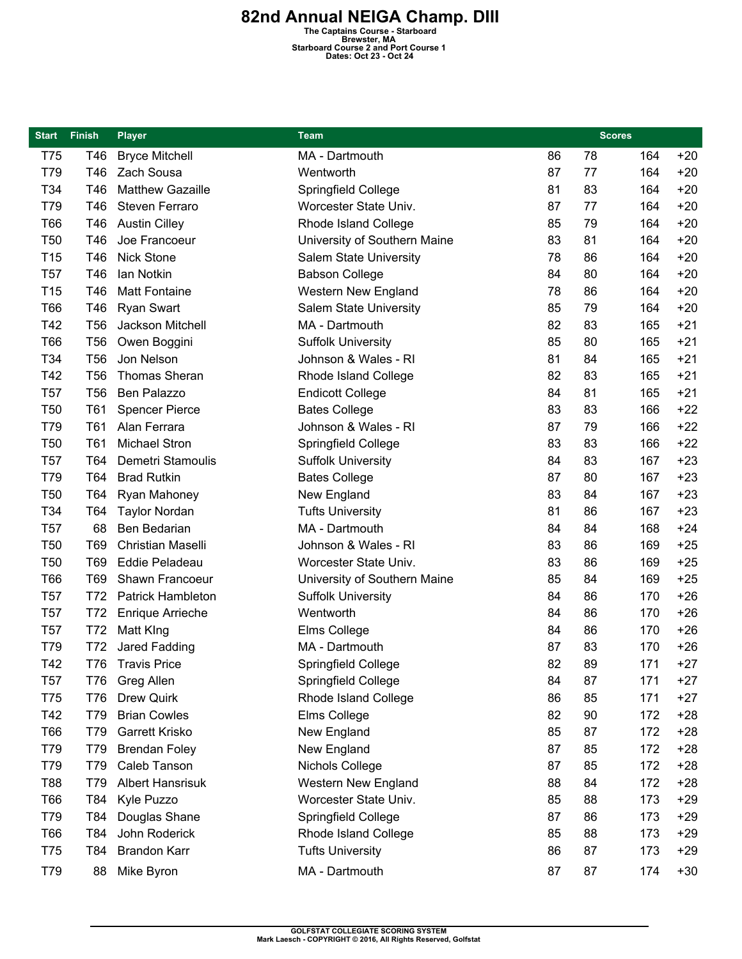**82nd Annual NEIGA Champ. DIII**<br>
The Captains Course - Starboard<br>
Brewster, MA<br>
Bates: Oct 23 - Oct 24<br>
Dates: Oct 23 - Oct 24

| Start           | <b>Finish</b>   | <b>Player</b>            | <b>Team</b>                   |    | <b>Scores</b> |     |       |
|-----------------|-----------------|--------------------------|-------------------------------|----|---------------|-----|-------|
| T75             | T46             | <b>Bryce Mitchell</b>    | MA - Dartmouth                | 86 | 78            | 164 | $+20$ |
| T79             | T46             | Zach Sousa               | Wentworth                     | 87 | 77            | 164 | $+20$ |
| T34             | T46             | <b>Matthew Gazaille</b>  | Springfield College           | 81 | 83            | 164 | $+20$ |
| T79             | T46             | Steven Ferraro           | Worcester State Univ.         | 87 | 77            | 164 | $+20$ |
| <b>T66</b>      | T46             | <b>Austin Cilley</b>     | Rhode Island College          | 85 | 79            | 164 | $+20$ |
| T <sub>50</sub> | T46             | Joe Francoeur            | University of Southern Maine  | 83 | 81            | 164 | $+20$ |
| T15             | T46             | Nick Stone               | <b>Salem State University</b> | 78 | 86            | 164 | $+20$ |
| T <sub>57</sub> | T46             | Ian Notkin               | <b>Babson College</b>         | 84 | 80            | 164 | $+20$ |
| T <sub>15</sub> | T46             | <b>Matt Fontaine</b>     | <b>Western New England</b>    | 78 | 86            | 164 | $+20$ |
| <b>T66</b>      | T46             | <b>Ryan Swart</b>        | <b>Salem State University</b> | 85 | 79            | 164 | $+20$ |
| T42             | T <sub>56</sub> | Jackson Mitchell         | MA - Dartmouth                | 82 | 83            | 165 | $+21$ |
| <b>T66</b>      | <b>T56</b>      | Owen Boggini             | <b>Suffolk University</b>     | 85 | 80            | 165 | $+21$ |
| T34             | T <sub>56</sub> | Jon Nelson               | Johnson & Wales - RI          | 81 | 84            | 165 | $+21$ |
| T42             | T <sub>56</sub> | <b>Thomas Sheran</b>     | Rhode Island College          | 82 | 83            | 165 | $+21$ |
| T <sub>57</sub> | T <sub>56</sub> | Ben Palazzo              | <b>Endicott College</b>       | 84 | 81            | 165 | $+21$ |
| <b>T50</b>      | <b>T61</b>      | <b>Spencer Pierce</b>    | <b>Bates College</b>          | 83 | 83            | 166 | $+22$ |
| T79             | T61             | Alan Ferrara             | Johnson & Wales - RI          | 87 | 79            | 166 | $+22$ |
| T <sub>50</sub> | T <sub>61</sub> | <b>Michael Stron</b>     | Springfield College           | 83 | 83            | 166 | $+22$ |
| <b>T57</b>      | T64             | Demetri Stamoulis        | <b>Suffolk University</b>     | 84 | 83            | 167 | $+23$ |
| T79             | T64             | <b>Brad Rutkin</b>       | <b>Bates College</b>          | 87 | 80            | 167 | $+23$ |
| T <sub>50</sub> | T64             | Ryan Mahoney             | New England                   | 83 | 84            | 167 | $+23$ |
| T34             | T64             | <b>Taylor Nordan</b>     | <b>Tufts University</b>       | 81 | 86            | 167 | $+23$ |
| <b>T57</b>      | 68              | Ben Bedarian             | MA - Dartmouth                | 84 | 84            | 168 | $+24$ |
| T <sub>50</sub> | T69             | <b>Christian Maselli</b> | Johnson & Wales - RI          | 83 | 86            | 169 | $+25$ |
| <b>T50</b>      | T69             | <b>Eddie Peladeau</b>    | Worcester State Univ.         | 83 | 86            | 169 | $+25$ |
| T66             | T69             | Shawn Francoeur          | University of Southern Maine  | 85 | 84            | 169 | $+25$ |
| T <sub>57</sub> | T72             | <b>Patrick Hambleton</b> | <b>Suffolk University</b>     | 84 | 86            | 170 | $+26$ |
| <b>T57</b>      | T72             | <b>Enrique Arrieche</b>  | Wentworth                     | 84 | 86            | 170 | $+26$ |
| <b>T57</b>      | T72             | Matt King                | Elms College                  | 84 | 86            | 170 | $+26$ |
| T79             | T72             | Jared Fadding            | MA - Dartmouth                | 87 | 83            | 170 | $+26$ |
| T42             | T76             | <b>Travis Price</b>      | Springfield College           | 82 | 89            | 171 | $+27$ |
| <b>T57</b>      | T76             | Greg Allen               | Springfield College           | 84 | 87            | 171 | $+27$ |
| T75             | <b>T76</b>      | <b>Drew Quirk</b>        | Rhode Island College          | 86 | 85            | 171 | $+27$ |
| T42             | T79             | <b>Brian Cowles</b>      | Elms College                  | 82 | 90            | 172 | $+28$ |
| <b>T66</b>      | T79             | Garrett Krisko           | New England                   | 85 | 87            | 172 | $+28$ |
| T79             | T79             | <b>Brendan Foley</b>     | New England                   | 87 | 85            | 172 | $+28$ |
| T79             | T79             | Caleb Tanson             | Nichols College               | 87 | 85            | 172 | $+28$ |
| T88             | T79             | <b>Albert Hansrisuk</b>  | Western New England           | 88 | 84            | 172 | $+28$ |
| <b>T66</b>      | T84             | Kyle Puzzo               | Worcester State Univ.         | 85 | 88            | 173 | $+29$ |
| T79             | T84             | Douglas Shane            | Springfield College           | 87 | 86            | 173 | $+29$ |
| <b>T66</b>      | T84             | John Roderick            | Rhode Island College          | 85 | 88            | 173 | $+29$ |
| T75             | T84             | <b>Brandon Karr</b>      | <b>Tufts University</b>       | 86 | 87            | 173 | $+29$ |
| T79             | 88              | Mike Byron               | MA - Dartmouth                | 87 | 87            | 174 | $+30$ |